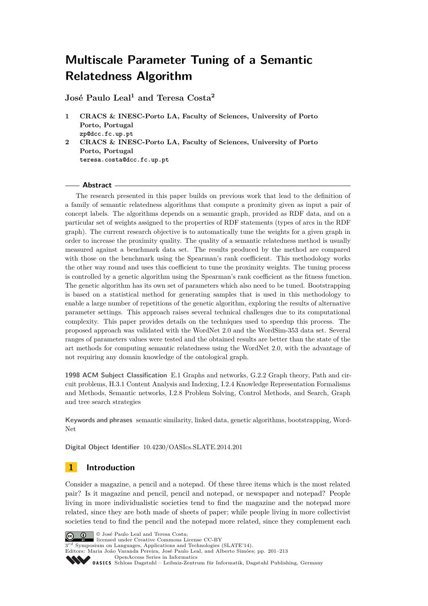**José Paulo Leal<sup>1</sup> and Teresa Costa<sup>2</sup>**

- **1 CRACS & INESC-Porto LA, Faculty of Sciences, University of Porto Porto, Portugal zp@dcc.fc.up.pt**
- **2 CRACS & INESC-Porto LA, Faculty of Sciences, University of Porto Porto, Portugal teresa.costa@dcc.fc.up.pt**

#### **Abstract**

The research presented in this paper builds on previous work that lead to the definition of a family of semantic relatedness algorithms that compute a proximity given as input a pair of concept labels. The algorithms depends on a semantic graph, provided as RDF data, and on a particular set of weights assigned to the properties of RDF statements (types of arcs in the RDF graph). The current research objective is to automatically tune the weights for a given graph in order to increase the proximity quality. The quality of a semantic relatedness method is usually measured against a benchmark data set. The results produced by the method are compared with those on the benchmark using the Spearman's rank coefficient. This methodology works the other way round and uses this coefficient to tune the proximity weights. The tuning process is controlled by a genetic algorithm using the Spearman's rank coefficient as the fitness function. The genetic algorithm has its own set of parameters which also need to be tuned. Bootstrapping is based on a statistical method for generating samples that is used in this methodology to enable a large number of repetitions of the genetic algorithm, exploring the results of alternative parameter settings. This approach raises several technical challenges due to its computational complexity. This paper provides details on the techniques used to speedup this process. The proposed approach was validated with the WordNet 2.0 and the WordSim-353 data set. Several ranges of parameters values were tested and the obtained results are better than the state of the art methods for computing semantic relatedness using the WordNet 2.0, with the advantage of not requiring any domain knowledge of the ontological graph.

**1998 ACM Subject Classification** E.1 Graphs and networks, G.2.2 Graph theory, Path and circuit problems, H.3.1 Content Analysis and Indexing, I.2.4 Knowledge Representation Formalisms and Methods, Semantic networks, I.2.8 Problem Solving, Control Methods, and Search, Graph and tree search strategies

**Keywords and phrases** semantic similarity, linked data, genetic algorithms, bootstrapping, Word-Net

**Digital Object Identifier** [10.4230/OASIcs.SLATE.2014.201](http://dx.doi.org/10.4230/OASIcs.SLATE.2014.201)

# **1 Introduction**

Consider a magazine, a pencil and a notepad. Of these three items which is the most related pair? Is it magazine and pencil, pencil and notepad, or newspaper and notepad? People living in more individualistic societies tend to find the magazine and the notepad more related, since they are both made of sheets of paper; while people living in more collectivist societies tend to find the pencil and the notepad more related, since they complement each

 $\boxed{6}$  0

© José Paulo Leal and Teresa Costa; licensed under Creative Commons License CC-BY

 $3^{rd}$  Symposium on Languages, Applications and Technologies (SLATE'14).

Editors: Maria João Varanda Pereira, José Paulo Leal, and Alberto Simões; pp. 201[–213](#page-12-0)

[OpenAccess Series in Informatics](http://www.dagstuhl.de/oasics/)

[Schloss Dagstuhl – Leibniz-Zentrum für Informatik, Dagstuhl Publishing, Germany](http://www.dagstuhl.de/)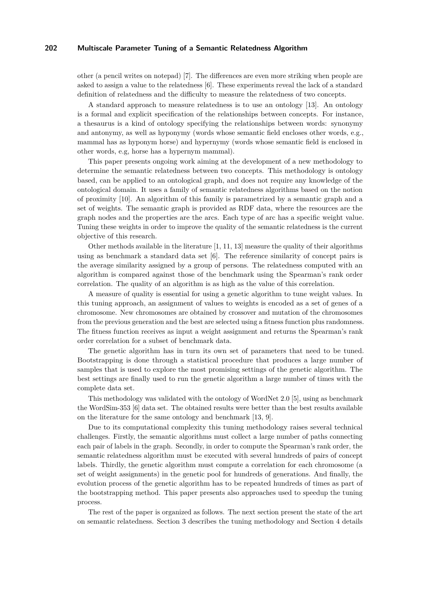other (a pencil writes on notepad) [\[7\]](#page-12-1). The differences are even more striking when people are asked to assign a value to the relatedness [\[6\]](#page-12-2). These experiments reveal the lack of a standard definition of relatedness and the difficulty to measure the relatedness of two concepts.

A standard approach to measure relatedness is to use an ontology [\[13\]](#page-12-3). An ontology is a formal and explicit specification of the relationships between concepts. For instance, a thesaurus is a kind of ontology specifying the relationships between words: synonymy and antonymy, as well as hyponymy (words whose semantic field encloses other words, e.g., mammal has as hyponym horse) and hypernymy (words whose semantic field is enclosed in other words, e.g, horse has a hypernym mammal).

This paper presents ongoing work aiming at the development of a new methodology to determine the semantic relatedness between two concepts. This methodology is ontology based, can be applied to an ontological graph, and does not require any knowledge of the ontological domain. It uses a family of semantic relatedness algorithms based on the notion of proximity [\[10\]](#page-12-4). An algorithm of this family is parametrized by a semantic graph and a set of weights. The semantic graph is provided as RDF data, where the resources are the graph nodes and the properties are the arcs. Each type of arc has a specific weight value. Tuning these weights in order to improve the quality of the semantic relatedness is the current objective of this research.

Other methods available in the literature [\[1,](#page-12-5) [11,](#page-12-6) [13\]](#page-12-3) measure the quality of their algorithms using as benchmark a standard data set [\[6\]](#page-12-2). The reference similarity of concept pairs is the average similarity assigned by a group of persons. The relatedness computed with an algorithm is compared against those of the benchmark using the Spearman's rank order correlation. The quality of an algorithm is as high as the value of this correlation.

A measure of quality is essential for using a genetic algorithm to tune weight values. In this tuning approach, an assignment of values to weights is encoded as a set of genes of a chromosome. New chromosomes are obtained by crossover and mutation of the chromosomes from the previous generation and the best are selected using a fitness function plus randomness. The fitness function receives as input a weight assignment and returns the Spearman's rank order correlation for a subset of benchmark data.

The genetic algorithm has in turn its own set of parameters that need to be tuned. Bootstrapping is done through a statistical procedure that produces a large number of samples that is used to explore the most promising settings of the genetic algorithm. The best settings are finally used to run the genetic algorithm a large number of times with the complete data set.

This methodology was validated with the ontology of WordNet 2.0 [\[5\]](#page-12-7), using as benchmark the WordSim-353 [\[6\]](#page-12-2) data set. The obtained results were better than the best results available on the literature for the same ontology and benchmark [\[13,](#page-12-3) [9\]](#page-12-8).

Due to its computational complexity this tuning methodology raises several technical challenges. Firstly, the semantic algorithms must collect a large number of paths connecting each pair of labels in the graph. Secondly, in order to compute the Spearman's rank order, the semantic relatedness algorithm must be executed with several hundreds of pairs of concept labels. Thirdly, the genetic algorithm must compute a correlation for each chromosome (a set of weight assignments) in the genetic pool for hundreds of generations. And finally, the evolution process of the genetic algorithm has to be repeated hundreds of times as part of the bootstrapping method. This paper presents also approaches used to speedup the tuning process.

The rest of the paper is organized as follows. The next section present the state of the art on semantic relatedness. Section [3](#page-2-0) describes the tuning methodology and Section [4](#page-6-0) details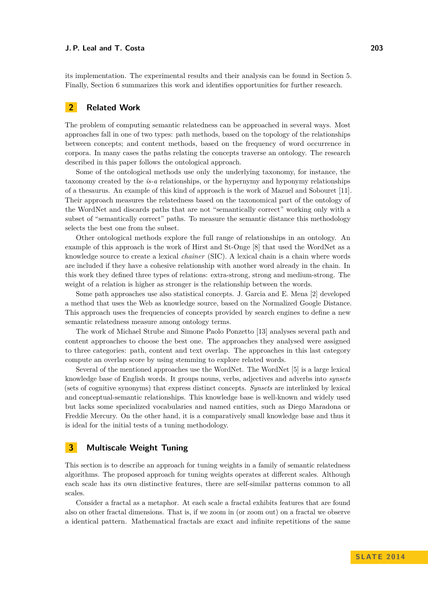its implementation. The experimental results and their analysis can be found in Section [5.](#page-8-0) Finally, Section [6](#page-11-0) summarizes this work and identifies opportunities for further research.

# **2 Related Work**

The problem of computing semantic relatedness can be approached in several ways. Most approaches fall in one of two types: path methods, based on the topology of the relationships between concepts; and content methods, based on the frequency of word occurrence in corpora. In many cases the paths relating the concepts traverse an ontology. The research described in this paper follows the ontological approach.

Some of the ontological methods use only the underlying taxonomy, for instance, the taxonomy created by the *is-a* relationships, or the hypernymy and hyponymy relationships of a thesaurus. An example of this kind of approach is the work of Mazuel and Sobouret [\[11\]](#page-12-6). Their approach measures the relatedness based on the taxonomical part of the ontology of the WordNet and discards paths that are not "semantically correct" working only with a subset of "semantically correct" paths. To measure the semantic distance this methodology selects the best one from the subset.

Other ontological methods explore the full range of relationships in an ontology. An example of this approach is the work of Hirst and St-Onge [\[8\]](#page-12-9) that used the WordNet as a knowledge source to create a lexical *chainer* (SIC). A lexical chain is a chain where words are included if they have a cohesive relationship with another word already in the chain. In this work they defined three types of relations: extra-strong, strong and medium-strong. The weight of a relation is higher as stronger is the relationship between the words.

Some path approaches use also statistical concepts. J. Garcia and E. Mena [\[2\]](#page-12-10) developed a method that uses the Web as knowledge source, based on the Normalized Google Distance. This approach uses the frequencies of concepts provided by search engines to define a new semantic relatedness measure among ontology terms.

The work of Michael Strube and Simone Paolo Ponzetto [\[13\]](#page-12-3) analyses several path and content approaches to choose the best one. The approaches they analysed were assigned to three categories: path, content and text overlap. The approaches in this last category compute an overlap score by using stemming to explore related words.

Several of the mentioned approaches use the WordNet. The WordNet [\[5\]](#page-12-7) is a large lexical knowledge base of English words. It groups nouns, verbs, adjectives and adverbs into *synsets* (sets of cognitive synonyms) that express distinct concepts. *Synsets* are interlinked by lexical and conceptual-semantic relationships. This knowledge base is well-known and widely used but lacks some specialized vocabularies and named entities, such as Diego Maradona or Freddie Mercury. On the other hand, it is a comparatively small knowledge base and thus it is ideal for the initial tests of a tuning methodology.

## <span id="page-2-0"></span>**3 Multiscale Weight Tuning**

This section is to describe an approach for tuning weights in a family of semantic relatedness algorithms. The proposed approach for tuning weights operates at different scales. Although each scale has its own distinctive features, there are self-similar patterns common to all scales.

Consider a fractal as a metaphor. At each scale a fractal exhibits features that are found also on other fractal dimensions. That is, if we zoom in (or zoom out) on a fractal we observe a identical pattern. Mathematical fractals are exact and infinite repetitions of the same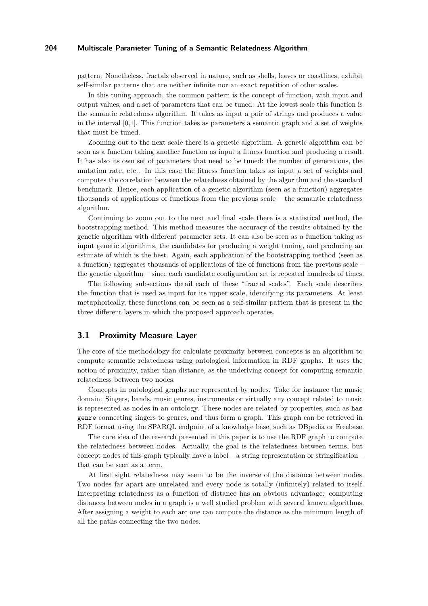pattern. Nonetheless, fractals observed in nature, such as shells, leaves or coastlines, exhibit self-similar patterns that are neither infinite nor an exact repetition of other scales.

In this tuning approach, the common pattern is the concept of function, with input and output values, and a set of parameters that can be tuned. At the lowest scale this function is the semantic relatedness algorithm. It takes as input a pair of strings and produces a value in the interval  $[0,1]$ . This function takes as parameters a semantic graph and a set of weights that must be tuned.

Zooming out to the next scale there is a genetic algorithm. A genetic algorithm can be seen as a function taking another function as input a fitness function and producing a result. It has also its own set of parameters that need to be tuned: the number of generations, the mutation rate, etc.. In this case the fitness function takes as input a set of weights and computes the correlation between the relatedness obtained by the algorithm and the standard benchmark. Hence, each application of a genetic algorithm (seen as a function) aggregates thousands of applications of functions from the previous scale – the semantic relatedness algorithm.

Continuing to zoom out to the next and final scale there is a statistical method, the bootstrapping method. This method measures the accuracy of the results obtained by the genetic algorithm with different parameter sets. It can also be seen as a function taking as input genetic algorithms, the candidates for producing a weight tuning, and producing an estimate of which is the best. Again, each application of the bootstrapping method (seen as a function) aggregates thousands of applications of the of functions from the previous scale – the genetic algorithm – since each candidate configuration set is repeated hundreds of times.

The following subsections detail each of these "fractal scales". Each scale describes the function that is used as input for its upper scale, identifying its parameters. At least metaphorically, these functions can be seen as a self-similar pattern that is present in the three different layers in which the proposed approach operates.

#### **3.1 Proximity Measure Layer**

The core of the methodology for calculate proximity between concepts is an algorithm to compute semantic relatedness using ontological information in RDF graphs. It uses the notion of proximity, rather than distance, as the underlying concept for computing semantic relatedness between two nodes.

Concepts in ontological graphs are represented by nodes. Take for instance the music domain. Singers, bands, music genres, instruments or virtually any concept related to music is represented as nodes in an ontology. These nodes are related by properties, such as has genre connecting singers to genres, and thus form a graph. This graph can be retrieved in RDF format using the SPARQL endpoint of a knowledge base, such as DBpedia or Freebase.

The core idea of the research presented in this paper is to use the RDF graph to compute the relatedness between nodes. Actually, the goal is the relatedness between terms, but concept nodes of this graph typically have a label – a string representation or stringification – that can be seen as a term.

At first sight relatedness may seem to be the inverse of the distance between nodes. Two nodes far apart are unrelated and every node is totally (infinitely) related to itself. Interpreting relatedness as a function of distance has an obvious advantage: computing distances between nodes in a graph is a well studied problem with several known algorithms. After assigning a weight to each arc one can compute the distance as the minimum length of all the paths connecting the two nodes.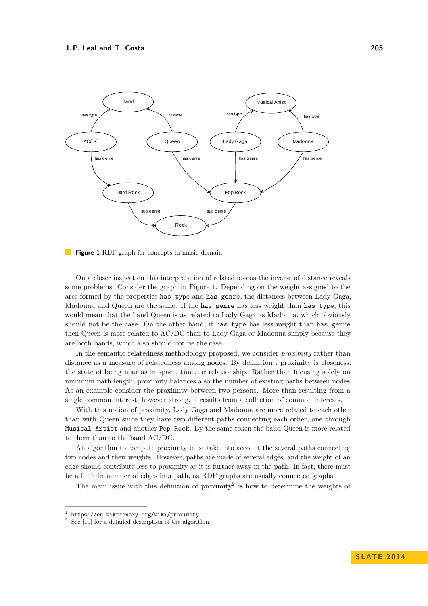<span id="page-4-0"></span>

**Figure 1** RDF graph for concepts in music domain.

On a closer inspection this interpretation of relatedness as the inverse of distance reveals some problems. Consider the graph in Figure [1.](#page-4-0) Depending on the weight assigned to the arcs formed by the properties has type and has genre, the distances between Lady Gaga, Madonna and Queen are the same. If the has genre has less weight than has type, this would mean that the band Queen is as related to Lady Gaga as Madonna, which obviously should not be the case. On the other hand, if has type has less weight than has genre then Queen is more related to AC/DC than to Lady Gaga or Madonna simply because they are both bands, which also should not be the case.

In the semantic relatedness methodology proposed, we consider *proximity* rather than distance as a measure of relatedness among nodes. By definition<sup>[1](#page-4-1)</sup>, proximity is closeness; the state of being near as in space, time, or relationship. Rather than focusing solely on minimum path length, proximity balances also the number of existing paths between nodes. As an example consider the proximity between two persons. More than resulting from a single common interest, however strong, it results from a collection of common interests.

With this notion of proximity, Lady Gaga and Madonna are more related to each other than with Queen since they have two different paths connecting each other, one through Musical Artist and another Pop Rock. By the same token the band Queen is more related to them than to the band AC/DC.

An algorithm to compute proximity must take into account the several paths connecting two nodes and their weights. However, paths are made of several edges, and the weight of an edge should contribute less to proximity as it is further away in the path. In fact, there must be a limit in number of edges in a path, as RDF graphs are usually connected graphs.

The main issue with this definition of proximity<sup>[2](#page-4-2)</sup> is how to determine the weights of

<span id="page-4-1"></span><sup>1</sup> https://en.wiktionary.org/wiki/proximity

<span id="page-4-2"></span> $2$  See [\[10\]](#page-12-4) for a detailed description of the algorithm.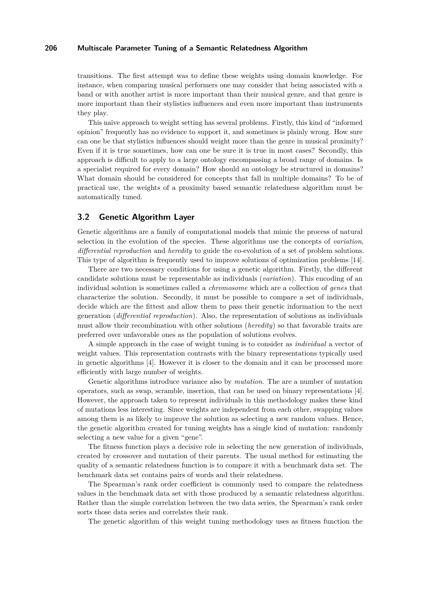transitions. The first attempt was to define these weights using domain knowledge. For instance, when comparing musical performers one may consider that being associated with a band or with another artist is more important than their musical genre, and that genre is more important than their stylistics influences and even more important than instruments they play.

This naïve approach to weight setting has several problems. Firstly, this kind of "informed opinion" frequently has no evidence to support it, and sometimes is plainly wrong. How sure can one be that stylistics influences should weight more than the genre in musical proximity? Even if it is true sometimes, how can one be sure it is true in most cases? Secondly, this approach is difficult to apply to a large ontology encompassing a broad range of domains. Is a specialist required for every domain? How should an ontology be structured in domains? What domain should be considered for concepts that fall in multiple domains? To be of practical use, the weights of a proximity based semantic relatedness algorithm must be automatically tuned.

# **3.2 Genetic Algorithm Layer**

Genetic algorithms are a family of computational models that mimic the process of natural selection in the evolution of the species. These algorithms use the concepts of *variation*, *differential reproduction* and *heredity* to guide the co-evolution of a set of problem solutions. This type of algorithm is frequently used to improve solutions of optimization problems [\[14\]](#page-12-11).

There are two necessary conditions for using a genetic algorithm. Firstly, the different candidate solutions must be representable as individuals (*variation*). This encoding of an individual solution is sometimes called a *chromosome* which are a collection of *genes* that characterize the solution. Secondly, it must be possible to compare a set of individuals, decide which are the fittest and allow them to pass their genetic information to the next generation (*differential reproduction*). Also, the representation of solutions as individuals must allow their recombination with other solutions (*heredity*) so that favorable traits are preferred over unfavorable ones as the population of solutions evolves.

A simple approach in the case of weight tuning is to consider as *individual* a vector of weight values. This representation contrasts with the binary representations typically used in genetic algorithms [\[4\]](#page-12-12). However it is closer to the domain and it can be processed more efficiently with large number of weights.

Genetic algorithms introduce variance also by *mutation*. The are a number of mutation operators, such as swap, scramble, insertion, that can be used on binary representations [\[4\]](#page-12-12). However, the approach taken to represent individuals in this methodology makes these kind of mutations less interesting. Since weights are independent from each other, swapping values among them is as likely to improve the solution as selecting a new random values. Hence, the genetic algorithm created for tuning weights has a single kind of mutation: randomly selecting a new value for a given "gene".

The fitness function plays a decisive role in selecting the new generation of individuals, created by crossover and mutation of their parents. The usual method for estimating the quality of a semantic relatedness function is to compare it with a benchmark data set. The benchmark data set contains pairs of words and their relatedness.

The Spearman's rank order coefficient is commonly used to compare the relatedness values in the benchmark data set with those produced by a semantic relatedness algorithm. Rather than the simple correlation between the two data series, the Spearman's rank order sorts those data series and correlates their rank.

The genetic algorithm of this weight tuning methodology uses as fitness function the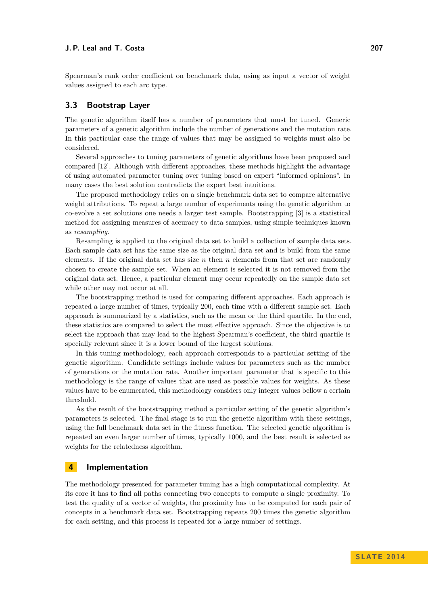Spearman's rank order coefficient on benchmark data, using as input a vector of weight values assigned to each arc type.

## **3.3 Bootstrap Layer**

The genetic algorithm itself has a number of parameters that must be tuned. Generic parameters of a genetic algorithm include the number of generations and the mutation rate. In this particular case the range of values that may be assigned to weights must also be considered.

Several approaches to tuning parameters of genetic algorithms have been proposed and compared [\[12\]](#page-12-13). Although with different approaches, these methods highlight the advantage of using automated parameter tuning over tuning based on expert "informed opinions". In many cases the best solution contradicts the expert best intuitions.

The proposed methodology relies on a single benchmark data set to compare alternative weight attributions. To repeat a large number of experiments using the genetic algorithm to co-evolve a set solutions one needs a larger test sample. Bootstrapping [\[3\]](#page-12-14) is a statistical method for assigning measures of accuracy to data samples, using simple techniques known as *resampling*.

Resampling is applied to the original data set to build a collection of sample data sets. Each sample data set has the same size as the original data set and is build from the same elements. If the original data set has size *n* then *n* elements from that set are randomly chosen to create the sample set. When an element is selected it is not removed from the original data set. Hence, a particular element may occur repeatedly on the sample data set while other may not occur at all.

The bootstrapping method is used for comparing different approaches. Each approach is repeated a large number of times, typically 200, each time with a different sample set. Each approach is summarized by a statistics, such as the mean or the third quartile. In the end, these statistics are compared to select the most effective approach. Since the objective is to select the approach that may lead to the highest Spearman's coefficient, the third quartile is specially relevant since it is a lower bound of the largest solutions.

In this tuning methodology, each approach corresponds to a particular setting of the genetic algorithm. Candidate settings include values for parameters such as the number of generations or the mutation rate. Another important parameter that is specific to this methodology is the range of values that are used as possible values for weights. As these values have to be enumerated, this methodology considers only integer values bellow a certain threshold.

As the result of the bootstrapping method a particular setting of the genetic algorithm's parameters is selected. The final stage is to run the genetic algorithm with these settings, using the full benchmark data set in the fitness function. The selected genetic algorithm is repeated an even larger number of times, typically 1000, and the best result is selected as weights for the relatedness algorithm.

## <span id="page-6-0"></span>**4 Implementation**

The methodology presented for parameter tuning has a high computational complexity. At its core it has to find all paths connecting two concepts to compute a single proximity. To test the quality of a vector of weights, the proximity has to be computed for each pair of concepts in a benchmark data set. Bootstrapping repeats 200 times the genetic algorithm for each setting, and this process is repeated for a large number of settings.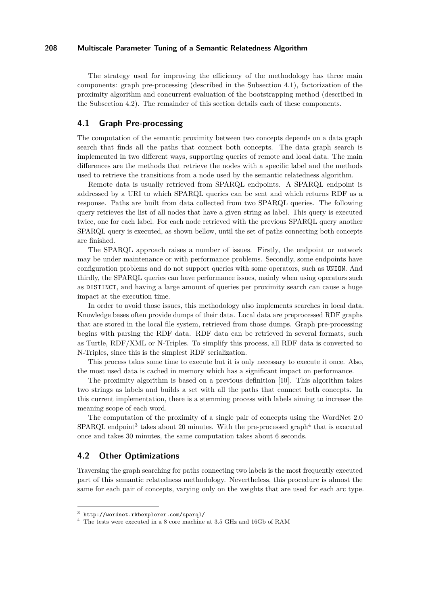The strategy used for improving the efficiency of the methodology has three main components: graph pre-processing (described in the Subsection [4.1\)](#page-7-0), factorization of the proximity algorithm and concurrent evaluation of the bootstrapping method (described in the Subsection [4.2\)](#page-7-1). The remainder of this section details each of these components.

#### <span id="page-7-0"></span>**4.1 Graph Pre-processing**

The computation of the semantic proximity between two concepts depends on a data graph search that finds all the paths that connect both concepts. The data graph search is implemented in two different ways, supporting queries of remote and local data. The main differences are the methods that retrieve the nodes with a specific label and the methods used to retrieve the transitions from a node used by the semantic relatedness algorithm.

Remote data is usually retrieved from SPARQL endpoints. A SPARQL endpoint is addressed by a URI to which SPARQL queries can be sent and which returns RDF as a response. Paths are built from data collected from two SPARQL queries. The following query retrieves the list of all nodes that have a given string as label. This query is executed twice, one for each label. For each node retrieved with the previous SPARQL query another SPARQL query is executed, as shown bellow, until the set of paths connecting both concepts are finished.

The SPARQL approach raises a number of issues. Firstly, the endpoint or network may be under maintenance or with performance problems. Secondly, some endpoints have configuration problems and do not support queries with some operators, such as UNION. And thirdly, the SPARQL queries can have performance issues, mainly when using operators such as DISTINCT, and having a large amount of queries per proximity search can cause a huge impact at the execution time.

In order to avoid those issues, this methodology also implements searches in local data. Knowledge bases often provide dumps of their data. Local data are preprocessed RDF graphs that are stored in the local file system, retrieved from those dumps. Graph pre-processing begins with parsing the RDF data. RDF data can be retrieved in several formats, such as Turtle, RDF/XML or N-Triples. To simplify this process, all RDF data is converted to N-Triples, since this is the simplest RDF serialization.

This process takes some time to execute but it is only necessary to execute it once. Also, the most used data is cached in memory which has a significant impact on performance.

The proximity algorithm is based on a previous definition [\[10\]](#page-12-4). This algorithm takes two strings as labels and builds a set with all the paths that connect both concepts. In this current implementation, there is a stemming process with labels aiming to increase the meaning scope of each word.

The computation of the proximity of a single pair of concepts using the WordNet 2.0  $SPARQL$  endpoint<sup>[3](#page-7-2)</sup> takes about 20 minutes. With the pre-processed graph<sup>[4](#page-7-3)</sup> that is executed once and takes 30 minutes, the same computation takes about 6 seconds.

# <span id="page-7-1"></span>**4.2 Other Optimizations**

Traversing the graph searching for paths connecting two labels is the most frequently executed part of this semantic relatedness methodology. Nevertheless, this procedure is almost the same for each pair of concepts, varying only on the weights that are used for each arc type.

<span id="page-7-2"></span><sup>3</sup> <http://wordnet.rkbexplorer.com/sparql/>

<span id="page-7-3"></span><sup>4</sup> The tests were executed in a 8 core machine at 3.5 GHz and 16Gb of RAM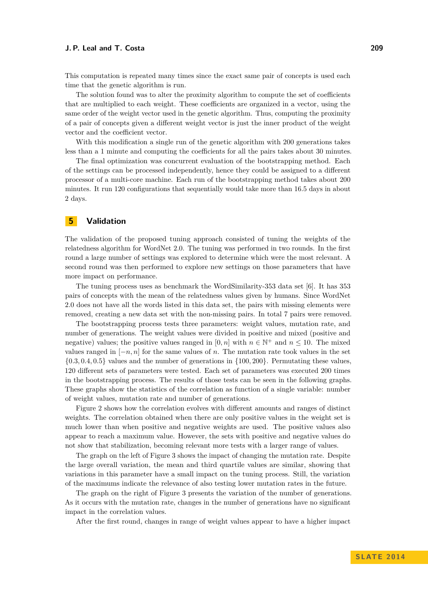This computation is repeated many times since the exact same pair of concepts is used each time that the genetic algorithm is run.

The solution found was to alter the proximity algorithm to compute the set of coefficients that are multiplied to each weight. These coefficients are organized in a vector, using the same order of the weight vector used in the genetic algorithm. Thus, computing the proximity of a pair of concepts given a different weight vector is just the inner product of the weight vector and the coefficient vector.

With this modification a single run of the genetic algorithm with 200 generations takes less than a 1 minute and computing the coefficients for all the pairs takes about 30 minutes.

The final optimization was concurrent evaluation of the bootstrapping method. Each of the settings can be processed independently, hence they could be assigned to a different processor of a multi-core machine. Each run of the bootstrapping method takes about 200 minutes. It run 120 configurations that sequentially would take more than 16.5 days in about 2 days.

# <span id="page-8-0"></span>**5 Validation**

The validation of the proposed tuning approach consisted of tuning the weights of the relatedness algorithm for WordNet 2.0. The tuning was performed in two rounds. In the first round a large number of settings was explored to determine which were the most relevant. A second round was then performed to explore new settings on those parameters that have more impact on performance.

The tuning process uses as benchmark the WordSimilarity-353 data set [\[6\]](#page-12-2). It has 353 pairs of concepts with the mean of the relatedness values given by humans. Since WordNet 2.0 does not have all the words listed in this data set, the pairs with missing elements were removed, creating a new data set with the non-missing pairs. In total 7 pairs were removed.

The bootstrapping process tests three parameters: weight values, mutation rate, and number of generations. The weight values were divided in positive and mixed (positive and negative) values; the positive values ranged in  $[0, n]$  with  $n \in \mathbb{N}^+$  and  $n \leq 10$ . The mixed values ranged in  $[-n, n]$  for the same values of *n*. The mutation rate took values in the set {0*.*3*,* 0*.*4*,* 0*.*5} values and the number of generations in {100*,* 200}. Permutating these values, 120 different sets of parameters were tested. Each set of parameters was executed 200 times in the bootstrapping process. The results of those tests can be seen in the following graphs. These graphs show the statistics of the correlation as function of a single variable: number of weight values, mutation rate and number of generations.

Figure [2](#page-9-0) shows how the correlation evolves with different amounts and ranges of distinct weights. The correlation obtained when there are only positive values in the weight set is much lower than when positive and negative weights are used. The positive values also appear to reach a maximum value. However, the sets with positive and negative values do not show that stabilization, becoming relevant more tests with a larger range of values.

The graph on the left of Figure [3](#page-9-1) shows the impact of changing the mutation rate. Despite the large overall variation, the mean and third quartile values are similar, showing that variations in this parameter have a small impact on the tuning process. Still, the variation of the maximums indicate the relevance of also testing lower mutation rates in the future.

The graph on the right of Figure [3](#page-9-1) presents the variation of the number of generations. As it occurs with the mutation rate, changes in the number of generations have no significant impact in the correlation values.

After the first round, changes in range of weight values appear to have a higher impact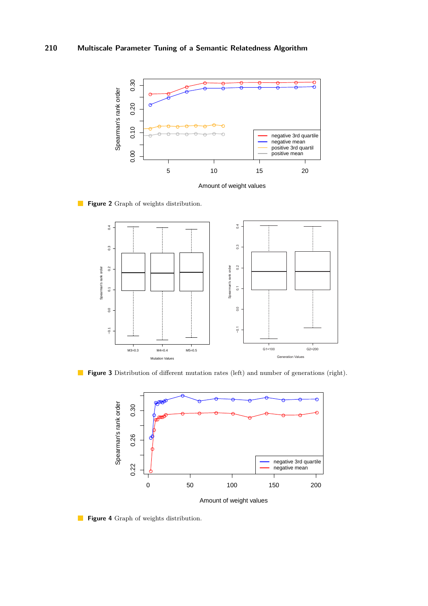<span id="page-9-0"></span>

Amount of weight values

<span id="page-9-1"></span>

**Figure 2** Graph of weights distribution.

<span id="page-9-2"></span>



Amount of weight values

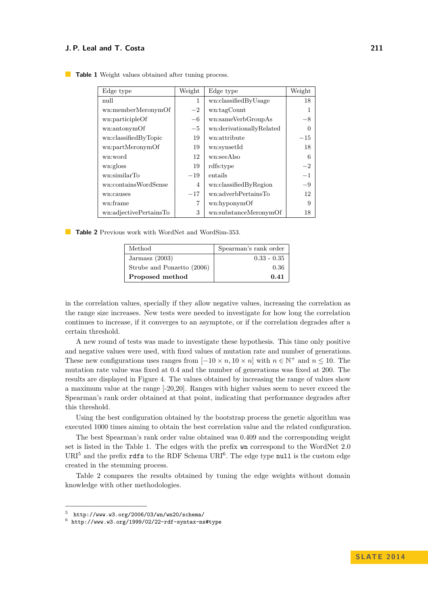| Edge type              | Weight         | Edge type                | Weight |
|------------------------|----------------|--------------------------|--------|
| null                   | 1              | wn:classifiedByUsage     | 18     |
| wn:memberMeronymOf     | $-2$           | wn:tagCount              | 1      |
| wn:participleOf        | $-6$           | wn:sameVerbGroupAs       | $-8$   |
| wn:antonymOf           | $-5$           | wn:derivationallyRelated | 0      |
| wn:classifiedByTopic   | 19             | wn:attribute             | $-15$  |
| wn:partMeronymOf       | 19             | wn:synsetId              | 18     |
| wn:word                | 12             | wn:seeAlso               | 6      |
| wn:gloss               | 19             | rdfs:type                | $-2$   |
| wn:similarTo           | $-19$          | entails                  | $-1$   |
| wn:containsWordSense   | $\overline{4}$ | wn:classifiedByRegion    | $-9$   |
| wn:causes              | $-17$          | wn:adverbPertainsTo      | 12     |
| wn:frame               | 7              | wn:hyponymOf             | 9      |
| wn:adjectivePertainsTo | 3              | wn:substanceMeronymOf    | 18     |

<span id="page-10-0"></span>**Table 1** Weight values obtained after tuning process.

<span id="page-10-3"></span>**Table 2** Previous work with WordNet and WordSim-353.

| Method                     | Spearman's rank order |  |
|----------------------------|-----------------------|--|
| Jarmasz $(2003)$           | $0.33 - 0.35$         |  |
| Strube and Ponzetto (2006) | 0.36                  |  |
| Proposed method            | 0.41                  |  |

in the correlation values, specially if they allow negative values, increasing the correlation as the range size increases. New tests were needed to investigate for how long the correlation continues to increase, if it converges to an asymptote, or if the correlation degrades after a certain threshold.

A new round of tests was made to investigate these hypothesis. This time only positive and negative values were used, with fixed values of mutation rate and number of generations. These new configurations uses ranges from  $[-10 \times n, 10 \times n]$  with  $n \in \mathbb{N}^+$  and  $n \leq 10$ . The mutation rate value was fixed at 0*.*4 and the number of generations was fixed at 200. The results are displayed in Figure [4.](#page-9-2) The values obtained by increasing the range of values show a maximum value at the range [-20,20]. Ranges with higher values seem to never exceed the Spearman's rank order obtained at that point, indicating that performance degrades after this threshold.

Using the best configuration obtained by the bootstrap process the genetic algorithm was executed 1000 times aiming to obtain the best correlation value and the related configuration.

The best Spearman's rank order value obtained was 0.409 and the corresponding weight set is listed in the Table [1.](#page-10-0) The edges with the prefix wn correspond to the WordNet 2.0  $\text{URI}^5$  $\text{URI}^5$  and the prefix rdfs to the RDF Schema URI<sup>[6](#page-10-2)</sup>. The edge type null is the custom edge created in the stemming process.

Table [2](#page-10-3) compares the results obtained by tuning the edge weights without domain knowledge with other methodologies.

<span id="page-10-1"></span> $5$  http://www.w3.org/2006/03/wn/wn20/schema/

<span id="page-10-2"></span> $^6$  http://www.w3.org/1999/02/22-rdf-syntax-ns#type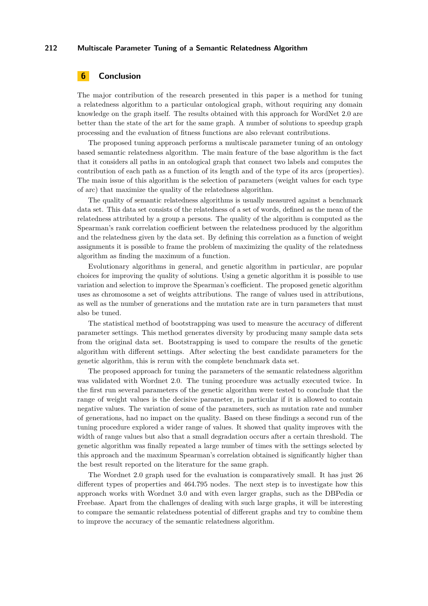# <span id="page-11-0"></span>**6 Conclusion**

The major contribution of the research presented in this paper is a method for tuning a relatedness algorithm to a particular ontological graph, without requiring any domain knowledge on the graph itself. The results obtained with this approach for WordNet 2.0 are better than the state of the art for the same graph. A number of solutions to speedup graph processing and the evaluation of fitness functions are also relevant contributions.

The proposed tuning approach performs a multiscale parameter tuning of an ontology based semantic relatedness algorithm. The main feature of the base algorithm is the fact that it considers all paths in an ontological graph that connect two labels and computes the contribution of each path as a function of its length and of the type of its arcs (properties). The main issue of this algorithm is the selection of parameters (weight values for each type of arc) that maximize the quality of the relatedness algorithm.

The quality of semantic relatedness algorithms is usually measured against a benchmark data set. This data set consists of the relatedness of a set of words, defined as the mean of the relatedness attributed by a group a persons. The quality of the algorithm is computed as the Spearman's rank correlation coefficient between the relatedness produced by the algorithm and the relatedness given by the data set. By defining this correlation as a function of weight assignments it is possible to frame the problem of maximizing the quality of the relatedness algorithm as finding the maximum of a function.

Evolutionary algorithms in general, and genetic algorithm in particular, are popular choices for improving the quality of solutions. Using a genetic algorithm it is possible to use variation and selection to improve the Spearman's coefficient. The proposed genetic algorithm uses as chromosome a set of weights attributions. The range of values used in attributions, as well as the number of generations and the mutation rate are in turn parameters that must also be tuned.

The statistical method of bootstrapping was used to measure the accuracy of different parameter settings. This method generates diversity by producing many sample data sets from the original data set. Bootstrapping is used to compare the results of the genetic algorithm with different settings. After selecting the best candidate parameters for the genetic algorithm, this is rerun with the complete benchmark data set.

The proposed approach for tuning the parameters of the semantic relatedness algorithm was validated with Wordnet 2.0. The tuning procedure was actually executed twice. In the first run several parameters of the genetic algorithm were tested to conclude that the range of weight values is the decisive parameter, in particular if it is allowed to contain negative values. The variation of some of the parameters, such as mutation rate and number of generations, had no impact on the quality. Based on these findings a second run of the tuning procedure explored a wider range of values. It showed that quality improves with the width of range values but also that a small degradation occurs after a certain threshold. The genetic algorithm was finally repeated a large number of times with the settings selected by this approach and the maximum Spearman's correlation obtained is significantly higher than the best result reported on the literature for the same graph.

The Wordnet 2.0 graph used for the evaluation is comparatively small. It has just 26 different types of properties and 464.795 nodes. The next step is to investigate how this approach works with Wordnet 3.0 and with even larger graphs, such as the DBPedia or Freebase. Apart from the challenges of dealing with such large graphs, it will be interesting to compare the semantic relatedness potential of different graphs and try to combine them to improve the accuracy of the semantic relatedness algorithm.